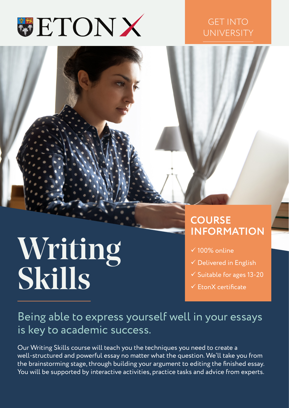

#### GET INTO UNIVERSITY

# Writing Skills

### **COURSE INFORMATION**

- $\times$  100% online
- $\checkmark$  Delivered in English
- $\checkmark$  Suitable for ages 13-20
- $\checkmark$  FronX certificate

### Being able to express yourself well in your essays is key to academic success.

Our Writing Skills course will teach you the techniques you need to create a well-structured and powerful essay no matter what the question. We'll take you from the brainstorming stage, through building your argument to editing the finished essay. You will be supported by interactive activities, practice tasks and advice from experts.